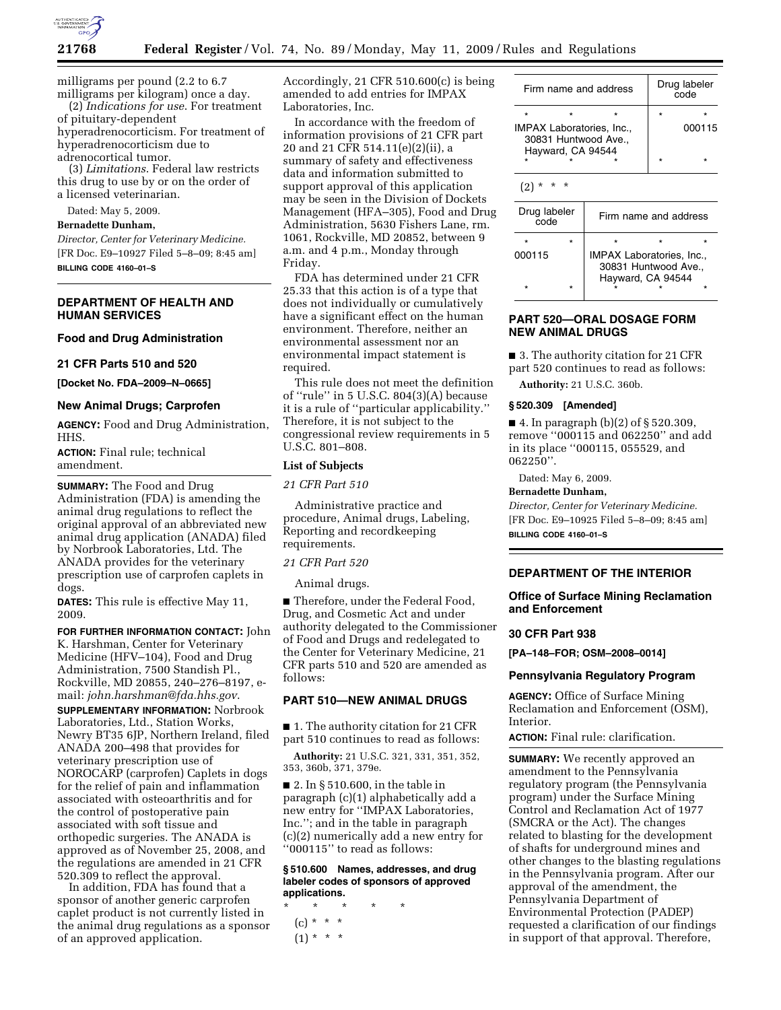

milligrams per pound (2.2 to 6.7 milligrams per kilogram) once a day.

(2) *Indications for use*. For treatment of pituitary-dependent

hyperadrenocorticism. For treatment of hyperadrenocorticism due to adrenocortical tumor.

(3) *Limitations*. Federal law restricts this drug to use by or on the order of

a licensed veterinarian.

# Dated: May 5, 2009.

**Bernadette Dunham,** 

*Director, Center for Veterinary Medicine.*  [FR Doc. E9–10927 Filed 5–8–09; 8:45 am] **BILLING CODE 4160–01–S** 

# **DEPARTMENT OF HEALTH AND HUMAN SERVICES**

#### **Food and Drug Administration**

# **21 CFR Parts 510 and 520**

**[Docket No. FDA–2009–N–0665]** 

# **New Animal Drugs; Carprofen**

**AGENCY:** Food and Drug Administration, HHS.

**ACTION:** Final rule; technical amendment.

**SUMMARY:** The Food and Drug Administration (FDA) is amending the animal drug regulations to reflect the original approval of an abbreviated new animal drug application (ANADA) filed by Norbrook Laboratories, Ltd. The ANADA provides for the veterinary prescription use of carprofen caplets in dogs.

**DATES:** This rule is effective May 11, 2009.

**FOR FURTHER INFORMATION CONTACT:** John K. Harshman, Center for Veterinary Medicine (HFV–104), Food and Drug Administration, 7500 Standish Pl., Rockville, MD 20855, 240–276–8197, email: *john.harshman@fda.hhs.gov*.

**SUPPLEMENTARY INFORMATION:** Norbrook Laboratories, Ltd., Station Works, Newry BT35 6JP, Northern Ireland, filed ANADA 200–498 that provides for veterinary prescription use of NOROCARP (carprofen) Caplets in dogs for the relief of pain and inflammation associated with osteoarthritis and for the control of postoperative pain associated with soft tissue and orthopedic surgeries. The ANADA is approved as of November 25, 2008, and the regulations are amended in 21 CFR 520.309 to reflect the approval.

In addition, FDA has found that a sponsor of another generic carprofen caplet product is not currently listed in the animal drug regulations as a sponsor of an approved application.

Accordingly, 21 CFR 510.600(c) is being amended to add entries for IMPAX Laboratories, Inc.

In accordance with the freedom of information provisions of 21 CFR part 20 and 21 CFR 514.11(e)(2)(ii), a summary of safety and effectiveness data and information submitted to support approval of this application may be seen in the Division of Dockets Management (HFA–305), Food and Drug Administration, 5630 Fishers Lane, rm. 1061, Rockville, MD 20852, between 9 a.m. and 4 p.m., Monday through Friday.

FDA has determined under 21 CFR 25.33 that this action is of a type that does not individually or cumulatively have a significant effect on the human environment. Therefore, neither an environmental assessment nor an environmental impact statement is required.

This rule does not meet the definition of ''rule'' in 5 U.S.C. 804(3)(A) because it is a rule of ''particular applicability.'' Therefore, it is not subject to the congressional review requirements in 5 U.S.C. 801–808.

# **List of Subjects**

*21 CFR Part 510* 

Administrative practice and procedure, Animal drugs, Labeling, Reporting and recordkeeping requirements.

*21 CFR Part 520* 

Animal drugs.

■ Therefore, under the Federal Food, Drug, and Cosmetic Act and under authority delegated to the Commissioner of Food and Drugs and redelegated to the Center for Veterinary Medicine, 21 CFR parts 510 and 520 are amended as follows:

# **PART 510—NEW ANIMAL DRUGS**

■ 1. The authority citation for 21 CFR part 510 continues to read as follows:

**Authority:** 21 U.S.C. 321, 331, 351, 352, 353, 360b, 371, 379e.

■ 2. In § 510.600, in the table in paragraph (c)(1) alphabetically add a new entry for ''IMPAX Laboratories, Inc.''; and in the table in paragraph (c)(2) numerically add a new entry for ''000115'' to read as follows:

#### **§ 510.600 Names, addresses, and drug labeler codes of sponsors of approved applications.**

- \* \* \* \* \*  $(c) * * * *$ 
	- $(1) * * * *$

|         | Firm name and address                                                         | Drug labeler<br>code |        |  |
|---------|-------------------------------------------------------------------------------|----------------------|--------|--|
| $\star$ | $\star$                                                                       |                      |        |  |
|         | <b>IMPAX Laboratories, Inc.,</b><br>30831 Huntwood Ave.,<br>Hayward, CA 94544 |                      | 000115 |  |
| ÷       |                                                                               |                      |        |  |
|         |                                                                               |                      |        |  |

| Drug labeler<br>∩∩م |  | Firm name and address                                    |                   |  |  |  |
|---------------------|--|----------------------------------------------------------|-------------------|--|--|--|
| $\star$             |  |                                                          |                   |  |  |  |
| 000115              |  | <b>IMPAX Laboratories, Inc.,</b><br>30831 Huntwood Ave., |                   |  |  |  |
| $\star$             |  |                                                          | Hayward, CA 94544 |  |  |  |

### **PART 520—ORAL DOSAGE FORM NEW ANIMAL DRUGS**

■ 3. The authority citation for 21 CFR part 520 continues to read as follows:

**Authority:** 21 U.S.C. 360b.

#### **§ 520.309 [Amended]**

■ 4. In paragraph  $(b)(2)$  of § 520.309, remove ''000115 and 062250'' and add in its place ''000115, 055529, and 062250''.

Dated: May 6, 2009.

# **Bernadette Dunham,**

*Director, Center for Veterinary Medicine.*  [FR Doc. E9–10925 Filed 5–8–09; 8:45 am] **BILLING CODE 4160–01–S** 

# **DEPARTMENT OF THE INTERIOR**

# **Office of Surface Mining Reclamation and Enforcement**

# **30 CFR Part 938**

**[PA–148–FOR; OSM–2008–0014]** 

#### **Pennsylvania Regulatory Program**

**AGENCY:** Office of Surface Mining Reclamation and Enforcement (OSM), Interior.

**ACTION:** Final rule: clarification.

**SUMMARY:** We recently approved an amendment to the Pennsylvania regulatory program (the Pennsylvania program) under the Surface Mining Control and Reclamation Act of 1977 (SMCRA or the Act). The changes related to blasting for the development of shafts for underground mines and other changes to the blasting regulations in the Pennsylvania program. After our approval of the amendment, the Pennsylvania Department of Environmental Protection (PADEP) requested a clarification of our findings in support of that approval. Therefore,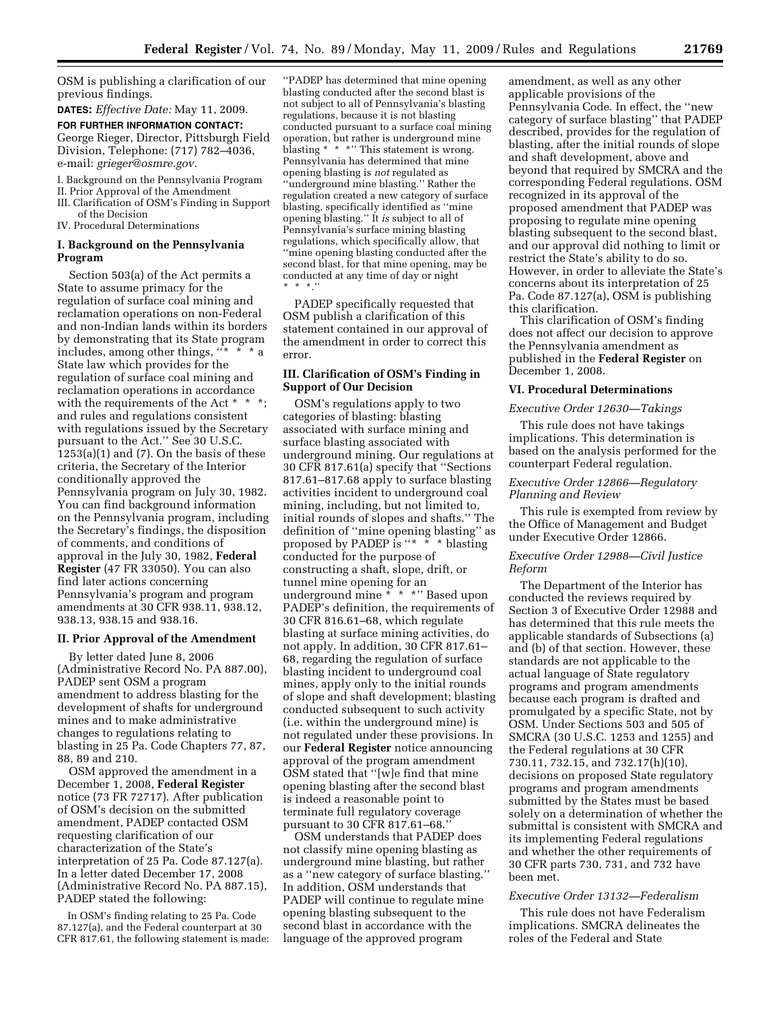OSM is publishing a clarification of our previous findings.

**DATES:** *Effective Date:* May 11, 2009.

**FOR FURTHER INFORMATION CONTACT:**  George Rieger, Director, Pittsburgh Field Division, Telephone: (717) 782–4036, e-mail: *grieger@osmre.gov.* 

- I. Background on the Pennsylvania Program
- II. Prior Approval of the Amendment
- III. Clarification of OSM's Finding in Support
- of the Decision IV. Procedural Determinations

# **I. Background on the Pennsylvania Program**

Section 503(a) of the Act permits a State to assume primacy for the regulation of surface coal mining and reclamation operations on non-Federal and non-Indian lands within its borders by demonstrating that its State program includes, among other things, ''\* \* \* a State law which provides for the regulation of surface coal mining and reclamation operations in accordance with the requirements of the Act \* \* \*; and rules and regulations consistent with regulations issued by the Secretary pursuant to the Act.'' See 30 U.S.C.  $1253(a)(1)$  and  $(7)$ . On the basis of these criteria, the Secretary of the Interior conditionally approved the Pennsylvania program on July 30, 1982. You can find background information on the Pennsylvania program, including the Secretary's findings, the disposition of comments, and conditions of approval in the July 30, 1982, **Federal Register** (47 FR 33050). You can also find later actions concerning Pennsylvania's program and program amendments at 30 CFR 938.11, 938.12, 938.13, 938.15 and 938.16.

#### **II. Prior Approval of the Amendment**

By letter dated June 8, 2006 (Administrative Record No. PA 887.00), PADEP sent OSM a program amendment to address blasting for the development of shafts for underground mines and to make administrative changes to regulations relating to blasting in 25 Pa. Code Chapters 77, 87, 88, 89 and 210.

OSM approved the amendment in a December 1, 2008, **Federal Register**  notice (73 FR 72717). After publication of OSM's decision on the submitted amendment, PADEP contacted OSM requesting clarification of our characterization of the State's interpretation of 25 Pa. Code 87.127(a). In a letter dated December 17, 2008 (Administrative Record No. PA 887.15), PADEP stated the following:

In OSM's finding relating to 25 Pa. Code 87.127(a), and the Federal counterpart at 30 CFR 817.61, the following statement is made:

''PADEP has determined that mine opening blasting conducted after the second blast is not subject to all of Pennsylvania's blasting regulations, because it is not blasting conducted pursuant to a surface coal mining operation, but rather is underground mine blasting \* \* \*" This statement is wrong. Pennsylvania has determined that mine opening blasting is *not* regulated as ''underground mine blasting.'' Rather the regulation created a new category of surface blasting, specifically identified as ''mine opening blasting.'' It *is* subject to all of Pennsylvania's surface mining blasting regulations, which specifically allow, that ''mine opening blasting conducted after the second blast, for that mine opening, may be conducted at any time of day or night \* \* \*.''

PADEP specifically requested that OSM publish a clarification of this statement contained in our approval of the amendment in order to correct this error.

# **III. Clarification of OSM's Finding in Support of Our Decision**

OSM's regulations apply to two categories of blasting: blasting associated with surface mining and surface blasting associated with underground mining. Our regulations at 30 CFR 817.61(a) specify that ''Sections 817.61–817.68 apply to surface blasting activities incident to underground coal mining, including, but not limited to, initial rounds of slopes and shafts.'' The definition of ''mine opening blasting'' as proposed by PADEP is "\* \* \* blasting conducted for the purpose of constructing a shaft, slope, drift, or tunnel mine opening for an underground mine \* \* \*'' Based upon PADEP's definition, the requirements of 30 CFR 816.61–68, which regulate blasting at surface mining activities, do not apply. In addition, 30 CFR 817.61– 68, regarding the regulation of surface blasting incident to underground coal mines, apply only to the initial rounds of slope and shaft development; blasting conducted subsequent to such activity (i.e. within the underground mine) is not regulated under these provisions. In our **Federal Register** notice announcing approval of the program amendment OSM stated that ''[w]e find that mine opening blasting after the second blast is indeed a reasonable point to terminate full regulatory coverage pursuant to 30 CFR 817.61–68.''

OSM understands that PADEP does not classify mine opening blasting as underground mine blasting, but rather as a ''new category of surface blasting.'' In addition, OSM understands that PADEP will continue to regulate mine opening blasting subsequent to the second blast in accordance with the language of the approved program

amendment, as well as any other applicable provisions of the Pennsylvania Code. In effect, the ''new category of surface blasting'' that PADEP described, provides for the regulation of blasting, after the initial rounds of slope and shaft development, above and beyond that required by SMCRA and the corresponding Federal regulations. OSM recognized in its approval of the proposed amendment that PADEP was proposing to regulate mine opening blasting subsequent to the second blast, and our approval did nothing to limit or restrict the State's ability to do so. However, in order to alleviate the State's concerns about its interpretation of 25 Pa. Code 87.127(a), OSM is publishing this clarification.

This clarification of OSM's finding does not affect our decision to approve the Pennsylvania amendment as published in the **Federal Register** on December 1, 2008.

### **VI. Procedural Determinations**

#### *Executive Order 12630—Takings*

This rule does not have takings implications. This determination is based on the analysis performed for the counterpart Federal regulation.

# *Executive Order 12866—Regulatory Planning and Review*

This rule is exempted from review by the Office of Management and Budget under Executive Order 12866.

# *Executive Order 12988—Civil Justice Reform*

The Department of the Interior has conducted the reviews required by Section 3 of Executive Order 12988 and has determined that this rule meets the applicable standards of Subsections (a) and (b) of that section. However, these standards are not applicable to the actual language of State regulatory programs and program amendments because each program is drafted and promulgated by a specific State, not by OSM. Under Sections 503 and 505 of SMCRA (30 U.S.C. 1253 and 1255) and the Federal regulations at 30 CFR 730.11, 732.15, and 732.17(h)(10), decisions on proposed State regulatory programs and program amendments submitted by the States must be based solely on a determination of whether the submittal is consistent with SMCRA and its implementing Federal regulations and whether the other requirements of 30 CFR parts 730, 731, and 732 have been met.

# *Executive Order 13132—Federalism*

This rule does not have Federalism implications. SMCRA delineates the roles of the Federal and State